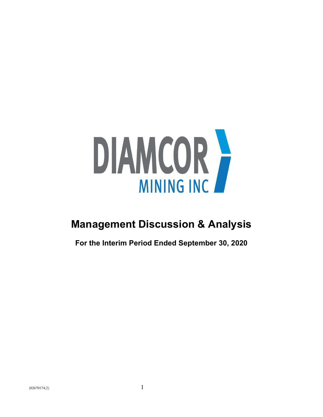

# **Management Discussion & Analysis**

**For the Interim Period Ended September 30, 2020**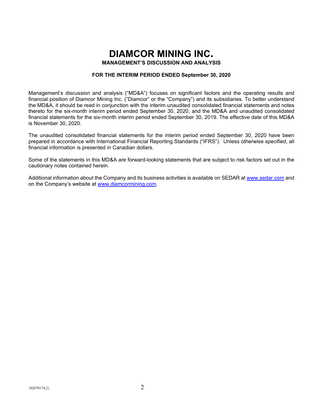# **DIAMCOR MINING INC.**

**MANAGEMENT'S DISCUSSION AND ANALYSIS**

# **FOR THE INTERIM PERIOD ENDED September 30, 2020**

Management's discussion and analysis ("MD&A") focuses on significant factors and the operating results and financial position of Diamcor Mining Inc. ("Diamcor" or the "Company") and its subsidiaries. To better understand the MD&A, it should be read in conjunction with the interim unaudited consolidated financial statements and notes thereto for the six-month interim period ended September 30, 2020, and the MD&A and unaudited consolidated financial statements for the six-month interim period ended September 30, 2019. The effective date of this MD&A is November 30, 2020.

The unaudited consolidated financial statements for the interim period ended September 30, 2020 have been prepared in accordance with International Financial Reporting Standards ("IFRS"). Unless otherwise specified, all financial information is presented in Canadian dollars.

Some of the statements in this MD&A are forward-looking statements that are subject to risk factors set out in the cautionary notes contained herein.

Additional information about the Company and its business activities is available on SEDAR at [www.sedar.com](http://www.sedar.com/) and on the Company's website at [www.diamcormining.com.](http://www.diamcormining.com/)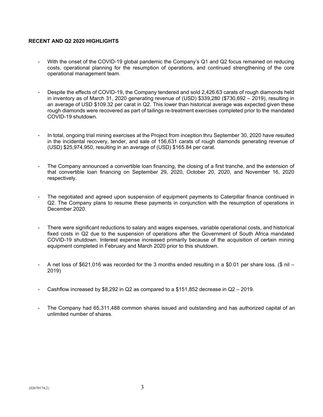# **RECENT AND Q2 2020 HIGHLIGHTS**

- With the onset of the COVID-19 global pandemic the Company's Q1 and Q2 focus remained on reducing costs, operational planning for the resumption of operations, and continued strengthening of the core operational management team.
- Despite the effects of COVID-19, the Company tendered and sold 2,426.63 carats of rough diamonds held in inventory as of March 31, 2020 generating revenue of (USD) \$339,280 (\$730,692 – 2019), resulting in an average of USD \$109.32 per carat in Q2. This lower than historical average was expected given these rough diamonds were recovered as part of tailings re-treatment exercises completed prior to the mandated COVID-19 shutdown.
- In total, ongoing trial mining exercises at the Project from inception thru September 30, 2020 have resulted in the incidental recovery, tender, and sale of 156,631 carats of rough diamonds generating revenue of (USD) \$25,974,950, resulting in an average of (USD) \$165.84 per carat.
- The Company announced a convertible loan financing, the closing of a first tranche, and the extension of that convertible loan financing on September 29, 2020, October 20, 2020, and November 16, 2020 respectively.
- The negotiated and agreed upon suspension of equipment payments to Caterpillar finance continued in Q2. The Company plans to resume these payments in conjunction with the resumption of operations in December 2020.
- There were significant reductions to salary and wages expenses, variable operational costs, and historical fixed costs in Q2 due to the suspension of operations after the Government of South Africa mandated COVID-19 shutdown. Interest expense increased primarily because of the acquisition of certain mining equipment completed in February and March 2020 prior to this shutdown.
- A net loss of \$621,016 was recorded for the 3 months ended resulting in a \$0.01 per share loss. (\$ nil 2019)
- Cashflow increased by \$8,292 in Q2 as compared to a  $$151,852$  decrease in Q2 2019.
- The Company had 65,311,488 common shares issued and outstanding and has authorized capital of an unlimited number of shares.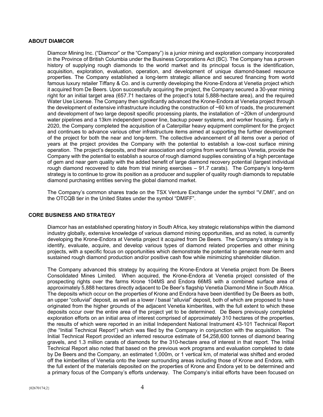## **ABOUT DIAMCOR**

Diamcor Mining Inc. ("Diamcor" or the "Company") is a junior mining and exploration company incorporated in the Province of British Columbia under the Business Corporations Act (BC). The Company has a proven history of supplying rough diamonds to the world market and its principal focus is the identification, acquisition, exploration, evaluation, operation, and development of unique diamond-based resource properties. The Company established a long-term strategic alliance and secured financing from world famous luxury retailer Tiffany & Co. and is currently developing the Krone-Endora at Venetia project which it acquired from De Beers. Upon successfully acquiring the project, the Company secured a 30-year mining right for an initial target area (657.71 hectares of the project's total 5,888-hectare area), and the required Water Use License. The Company then significantly advanced the Krone-Endora at Venetia project through the development of extensive infrastructure including the construction of ~60 km of roads, the procurement and development of two large deposit specific processing plants, the installation of  $\sim$ 20km of underground water pipelines and a 13km independent power line, backup power systems, and worker housing. Early in 2020, the Company completed the acquisition of a Caterpillar heavy equipment compliment for the project and continues to advance various other infrastructure items aimed at supporting the further development of the project for both the near and long-term. The collective advancement of all items over a period of years at the project provides the Company with the potential to establish a low-cost surface mining operation. The project's deposits, and their association and origins from world famous Venetia, provide the Company with the potential to establish a source of rough diamond supplies consisting of a high percentage of gem and near gem quality with the added benefit of large diamond recovery potential (largest individual rough diamond recovered to date from trial mining exercises – 91.7 carats). The Company's long-term strategy is to continue to grow its position as a producer and supplier of quality rough diamonds to reputable diamond purchasing entities serving the global diamond market.

The Company's common shares trade on the TSX Venture Exchange under the symbol "V.DMI", and on the OTCQB tier in the United States under the symbol "DMIFF".

## **CORE BUSINESS AND STRATEGY**

Diamcor has an established operating history in South Africa, key strategic relationships within the diamond industry globally, extensive knowledge of various diamond mining opportunities, and as noted, is currently developing the Krone-Endora at Venetia project it acquired from De Beers. The Company's strategy is to identify, evaluate, acquire, and develop various types of diamond related properties and other mining projects, with a specific focus on opportunities which demonstrate the potential to generate near-term and sustained rough diamond production and/or positive cash flow while minimizing shareholder dilution.

The Company advanced this strategy by acquiring the Krone-Endora at Venetia project from De Beers Consolidated Mines Limited. When acquired, the Krone-Endora at Venetia project consisted of the prospecting rights over the farms Krone 104MS and Endora 66MS with a combined surface area of approximately 5,888 hectares directly adjacent to De Beer's flagship Venetia Diamond Mine in South Africa. The deposits which occur on the properties of Krone and Endora have been identified by De Beers as both, an upper "colluvial" deposit, as well as a lower / basal "alluvial" deposit, both of which are proposed to have originated from the higher grounds of the adjacent Venetia kimberlites, with the full extent to which these deposits occur over the entire area of the project yet to be determined. De Beers previously completed exploration efforts on an initial area of interest comprised of approximately 310 hectares of the properties, the results of which were reported in an initial Independent National Instrument 43-101 Technical Report (the "Initial Technical Report") which was filed by the Company in conjunction with the acquisition. The Initial Technical Report provided an inferred resource estimate of 54,258,600 tonnes of diamond bearing gravels, and 1.3 million carats of diamonds for the 310-hectare area of interest in that report. The Initial Technical Report also noted that based on the previous work programs and evaluation completed to date by De Beers and the Company, an estimated 1,000m, or 1 vertical km, of material was shifted and eroded off the kimberlites of Venetia onto the lower surrounding areas including those of Krone and Endora, with the full extent of the materials deposited on the properties of Krone and Endora yet to be determined and a primary focus of the Company's efforts underway. The Company's initial efforts have been focused on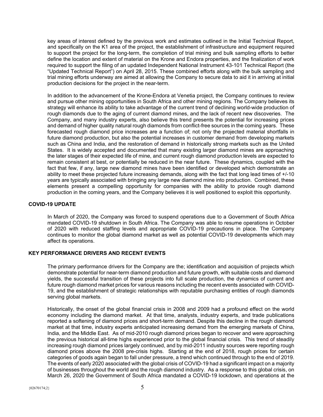key areas of interest defined by the previous work and estimates outlined in the Initial Technical Report, and specifically on the K1 area of the project, the establishment of infrastructure and equipment required to support the project for the long-term, the completion of trial mining and bulk sampling efforts to better define the location and extent of material on the Krone and Endora properties, and the finalization of work required to support the filing of an updated Independent National Instrument 43-101 Technical Report (the "Updated Technical Report") on April 28, 2015. These combined efforts along with the bulk sampling and trial mining efforts underway are aimed at allowing the Company to secure data to aid it in arriving at initial production decisions for the project in the near-term.

In addition to the advancement of the Krone-Endora at Venetia project, the Company continues to review and pursue other mining opportunities in South Africa and other mining regions. The Company believes its strategy will enhance its ability to take advantage of the current trend of declining world-wide production of rough diamonds due to the aging of current diamond mines, and the lack of recent new discoveries. The Company, and many industry experts, also believe this trend presents the potential for increasing prices and demand of higher quality natural rough diamonds from conflict-free sources in the coming years. These forecasted rough diamond price increases are a function of; not only the projected material shortfalls in future diamond production, but also the potential increases in customer demand from developing markets such as China and India, and the restoration of demand in historically strong markets such as the United States. It is widely accepted and documented that many existing larger diamond mines are approaching the later stages of their expected life of mine, and current rough diamond production levels are expected to remain consistent at best, or potentially be reduced in the near future. These dynamics, coupled with the fact that few, if any, large new diamond mines have been identified or developed which demonstrate an ability to meet these projected future increasing demands, along with the fact that long lead times of +/-10 years are typically associated with bringing any large new diamond mine into production. Combined, these elements present a compelling opportunity for companies with the ability to provide rough diamond production in the coming years, and the Company believes it is well positioned to exploit this opportunity.

# **COVID-19 UPDATE**

In March of 2020, the Company was forced to suspend operations due to a Government of South Africa mandated COVID-19 shutdown in South Africa. The Company was able to resume operations in October of 2020 with reduced staffing levels and appropriate COVID-19 precautions in place. The Company continues to monitor the global diamond market as well as potential COVID-19 developments which may affect its operations.

# **KEY PERFORMANCE DRIVERS AND RECENT EVENTS**

The primary performance drivers for the Company are the; identification and acquisition of projects which demonstrate potential for near-term diamond production and future growth, with suitable costs and diamond yields, the successful transition of these projects into full scale production, the dynamics of current and future rough diamond market prices for various reasons including the recent events associated with COVID-19, and the establishment of strategic relationships with reputable purchasing entities of rough diamonds serving global markets.

Historically, the onset of the global financial crisis in 2008 and 2009 had a profound effect on the world economy including the diamond market. At that time, analysts, industry experts, and trade publications reported a softening of diamond prices and short-term demand. Despite this decline in the rough diamond market at that time, industry experts anticipated increasing demand from the emerging markets of China, India, and the Middle East. As of mid-2010 rough diamond prices began to recover and were approaching the previous historical all-time highs experienced prior to the global financial crisis. This trend of steadily increasing rough diamond prices largely continued, and by mid-2011 industry sources were reporting rough diamond prices above the 2008 pre-crisis highs. Starting at the end of 2018, rough prices for certain categories of goods again began to fall under pressure, a trend which continued through to the end of 2019. The events of early 2020 associated with the global crisis of COVID-19 had a significant impact on a majority of businesses throughout the world and the rough diamond industry. As a response to this global crisis, on March 26, 2020 the Government of South Africa mandated a COVID-19 lockdown, and operations at the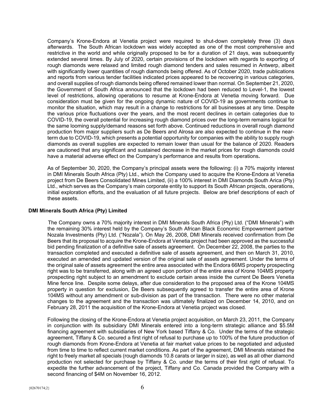Company's Krone-Endora at Venetia project were required to shut-down completely three (3) days afterwards. The South African lockdown was widely accepted as one of the most comprehensive and restrictive in the world and while originally proposed to be for a duration of 21 days, was subsequently extended several times. By July of 2020, certain provisions of the lockdown with regards to exporting of rough diamonds were relaxed and limited rough diamond tenders and sales resumed in Antwerp, albeit with significantly lower quantities of rough diamonds being offered. As of October 2020, trade publications and reports from various tender facilities indicated prices appeared to be recovering in various categories, and overall supplies of rough diamonds being offered remained lower than normal. On September 21, 2020, the Government of South Africa announced that the lockdown had been reduced to Level-1, the lowest level of restrictions, allowing operations to resume at Krone-Endora at Venetia moving forward. Due consideration must be given for the ongoing dynamic nature of COVID-19 as governments continue to monitor the situation, which may result in a change to restrictions for all businesses at any time. Despite the various price fluctuations over the years, and the most recent declines in certain categories due to COVID-19, the overall potential for increasing rough diamond prices over the long-term remains logical for the same looming supply/demand reasons set forth above. Continued reductions in overall rough diamond production from major suppliers such as De Beers and Alrosa are also expected to continue in the nearterm due to COVID-19, which presents a potential opportunity for companies with the ability to supply rough diamonds as overall supplies are expected to remain lower than usual for the balance of 2020. Readers are cautioned that any significant and sustained decrease in the market prices for rough diamonds could have a material adverse effect on the Company's performance and results from operations**.**

As of September 30, 2020, the Company's principal assets were the following: (i) a 70% majority interest in DMI Minerals South Africa (Pty) Ltd., which the Company used to acquire the Krone-Endora at Venetia project from De Beers Consolidated Mines Limited, (ii) a 100% interest in DMI Diamonds South Arica (Pty) Ltd., which serves as the Company's main corporate entity to support its South African projects, operations, initial exploration efforts, and the evaluation of all future projects. Below are brief descriptions of each of these assets.

## **DMI Minerals South Africa (Pty) Limited**

The Company owns a 70% majority interest in DMI Minerals South Africa (Pty) Ltd. ("DMI Minerals") with the remaining 30% interest held by the Company's South African Black Economic Empowerment partner Nozala Investments (Pty) Ltd. ("Nozala"). On May 26, 2008, DMI Minerals received confirmation from De Beers that its proposal to acquire the Krone-Endora at Venetia project had been approved as the successful bid pending finalization of a definitive sale of assets agreement. On December 22, 2008, the parties to the transaction completed and executed a definitive sale of assets agreement, and then on March 31, 2010, executed an amended and updated version of the original sale of assets agreement. Under the terms of the original sale of assets agreement the entire area associated with the Endora 66MS property prospecting right was to be transferred, along with an agreed upon portion of the entire area of Krone 104MS property prospecting right subject to an amendment to exclude certain areas inside the current De Beers Venetia Mine fence line. Despite some delays, after due consideration to the proposed area of the Krone 104MS property in question for exclusion, De Beers subsequently agreed to transfer the entire area of Krone 104MS without any amendment or sub-division as part of the transaction. There were no other material changes to the agreement and the transaction was ultimately finalized on December 14, 2010, and on February 28, 2011 the acquisition of the Krone-Endora at Venetia project was closed.

Following the closing of the Krone-Endora at Venetia project acquisition, on March 23, 2011, the Company in conjunction with its subsidiary DMI Minerals entered into a long-term strategic alliance and \$5.5M financing agreement with subsidiaries of New York based Tiffany & Co. Under the terms of the strategic agreement, Tiffany & Co. secured a first right of refusal to purchase up to 100% of the future production of rough diamonds from Krone-Endora at Venetia at fair market value prices to be negotiated and adjusted from time to time to reflect current market conditions. As part of the agreement, DMI Minerals retained the right to freely market all specials (rough diamonds 10.8 carats or larger in size), as well as all other diamond production not selected for purchase by Tiffany & Co. under the terms of their first right of refusal. To expedite the further advancement of the project, Tiffany and Co. Canada provided the Company with a second financing of \$4M on November 16, 2012.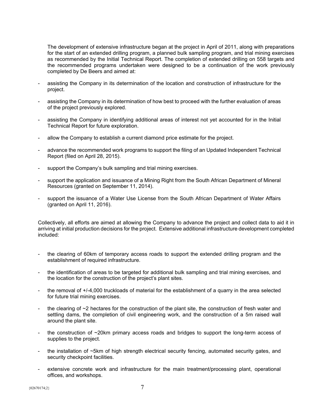The development of extensive infrastructure began at the project in April of 2011, along with preparations for the start of an extended drilling program, a planned bulk sampling program, and trial mining exercises as recommended by the Initial Technical Report. The completion of extended drilling on 558 targets and the recommended programs undertaken were designed to be a continuation of the work previously completed by De Beers and aimed at:

- assisting the Company in its determination of the location and construction of infrastructure for the project.
- assisting the Company in its determination of how best to proceed with the further evaluation of areas of the project previously explored.
- assisting the Company in identifying additional areas of interest not yet accounted for in the Initial Technical Report for future exploration.
- allow the Company to establish a current diamond price estimate for the project.
- advance the recommended work programs to support the filing of an Updated Independent Technical Report (filed on April 28, 2015).
- support the Company's bulk sampling and trial mining exercises.
- support the application and issuance of a Mining Right from the South African Department of Mineral Resources (granted on September 11, 2014).
- support the issuance of a Water Use License from the South African Department of Water Affairs (granted on April 11, 2016).

Collectively, all efforts are aimed at allowing the Company to advance the project and collect data to aid it in arriving at initial production decisions for the project. Extensive additional infrastructure development completed included:

- the clearing of 60km of temporary access roads to support the extended drilling program and the establishment of required infrastructure.
- the identification of areas to be targeted for additional bulk sampling and trial mining exercises, and the location for the construction of the project's plant sites.
- the removal of +/-4,000 truckloads of material for the establishment of a quarry in the area selected for future trial mining exercises.
- the clearing of  $\sim$ 2 hectares for the construction of the plant site, the construction of fresh water and settling dams, the completion of civil engineering work, and the construction of a 5m raised wall around the plant site.
- the construction of ~20km primary access roads and bridges to support the long-term access of supplies to the project.
- the installation of ~5km of high strength electrical security fencing, automated security gates, and security checkpoint facilities.
- extensive concrete work and infrastructure for the main treatment/processing plant, operational offices, and workshops.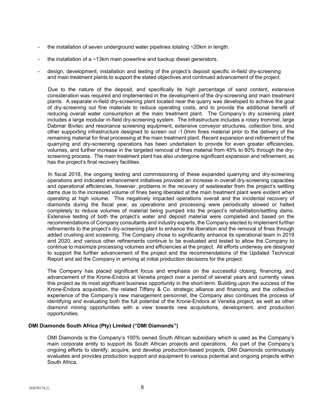- the installation of seven underground water pipelines totaling  $\sim$  20km in length.
- the installation of a  $\sim$ 13km main powerline and backup diesel generators.
- design, development, installation and testing of the project's deposit specific in-field dry-screening and main treatment plants to support the stated objectives and continued advancement of the project.

Due to the nature of the deposit, and specifically its high percentage of sand content, extensive consideration was required and implemented in the development of the dry-screening and main treatment plants. A separate in-field dry-screening plant located near the quarry was developed to achieve the goal of dry-screening out fine materials to reduce operating costs, and to provide the additional benefit of reducing overall water consumption at the main treatment plant. The Company's dry screening plant includes a large modular in-field dry-screening system. The infrastructure includes a rotary trommel, large Dabmar Bivitec and resonance screening equipment, extensive conveyor structures, collection bins, and other supporting infrastructure designed to screen out -1.0mm fines material prior to the delivery of the remaining material for final processing at the main treatment plant. Recent expansion and refinement of the quarrying and dry-screening operations has been undertaken to provide for even greater efficiencies, volumes, and further increase in the targeted removal of fines material from 45% to 60% through the dryscreening process. The main treatment plant has also undergone significant expansion and refinement, as has the project's final recovery facilities.

In fiscal 2018, the ongoing testing and commissioning of these expanded quarrying and dry-screening operations and indicated enhancement initiatives provided an increase in overall dry-screening capacities and operational efficiencies, however, problems in the recovery of wastewater from the project's settling dams due to the increased volume of fines being liberated at the main treatment plant were evident when operating at high volume. This negatively impacted operations overall and the incidental recovery of diamonds during the fiscal year, as operations and processing were periodically slowed or halted completely to reduce volumes of material being pumped into the project's rehabilitation/settling dams. Extensive testing of both the project's water and deposit material were completed and based on the recommendations of Company consultants and industry experts, the Company elected to implement further refinements to the project's dry-screening plant to enhance the liberation and the removal of fines through added crushing and screening. The Company chose to significantly enhance its operational team in 2019 and 2020, and various other refinements continue to be evaluated and tested to allow the Company to continue to maximize processing volumes and efficiencies at the project. All efforts underway are designed to support the further advancement of the project and the recommendations of the Updated Technical Report and aid the Company in arriving at initial production decisions for the project.

The Company has placed significant focus and emphasis on the successful closing, financing, and advancement of the Krone-Endora at Venetia project over a period of several years and currently views this project as its most significant business opportunity in the short-term. Building upon the success of the Krone-Endora acquisition, the related Tiffany & Co. strategic alliance and financing, and the collective experience of the Company's new management personnel, the Company also continues the process of identifying and evaluating both the full potential of the Krone-Endora at Venetia project, as well as other diamond mining opportunities with a view towards new acquisitions, development, and production opportunities.

## **DMI Diamonds South Africa (Pty) Limited ("DMI Diamonds")**

DMI Diamonds is the Company's 100% owned South African subsidiary which is used as the Company's main corporate entity to support its South African projects and operations. As part of the Company's ongoing efforts to identify, acquire, and develop production-based projects, DMI Diamonds continuously evaluates and provides production support and equipment to various potential and ongoing projects within South Africa.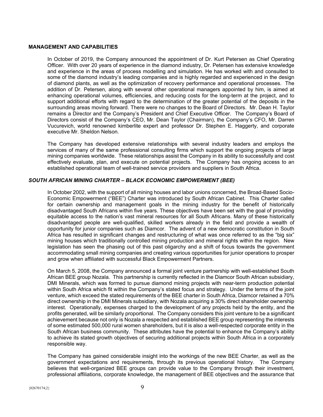### **MANAGEMENT AND CAPABILITIES**

In October of 2019, the Company announced the appointment of Dr. Kurt Petersen as Chief Operating Officer. With over 20 years of experience in the diamond industry, Dr. Petersen has extensive knowledge and experience in the areas of process modelling and simulation. He has worked with and consulted to some of the diamond industry's leading companies and is highly regarded and experienced in the design of diamond plants, as well as the optimization of recovery performance and operational processes. The addition of Dr. Petersen, along with several other operational managers appointed by him, is aimed at enhancing operational volumes, efficiencies, and reducing costs for the long-term at the project, and to support additional efforts with regard to the determination of the greater potential of the deposits in the surrounding areas moving forward. There were no changes to the Board of Directors. Mr. Dean H. Taylor remains a Director and the Company's President and Chief Executive Officer. The Company's Board of Directors consist of the Company's CEO, Mr. Dean Taylor (Chairman), the Company's CFO, Mr. Darren Vucurevich, world renowned kimberlite expert and professor Dr. Stephen E. Haggerty, and corporate executive Mr. Sheldon Nelson.

The Company has developed extensive relationships with several industry leaders and employs the services of many of the same professional consulting firms which support the ongoing projects of large mining companies worldwide. These relationships assist the Company in its ability to successfully and cost effectively evaluate, plan, and execute on potential projects. The Company has ongoing access to an established operational team of well-trained service providers and suppliers in South Africa.

# *SOUTH AFRICAN MINING CHARTER – BLACK ECONOMIC EMPOWERMENT (BEE)*

In October 2002, with the support of all mining houses and labor unions concerned, the Broad-Based Socio-Economic Empowerment ("BEE") Charter was introduced by South African Cabinet. This Charter called for certain ownership and management goals in the mining industry for the benefit of historically disadvantaged South Africans within five years. These objectives have been set with the goal of providing equitable access to the nation's vast mineral resources for all South Africans. Many of these historically disadvantaged people are well-qualified, skilled workers already in the field and provide a wealth of opportunity for junior companies such as Diamcor. The advent of a new democratic constitution in South Africa has resulted in significant changes and restructuring of what was once referred to as the "big six" mining houses which traditionally controlled mining production and mineral rights within the region. New legislation has seen the phasing out of this past oligarchy and a shift of focus towards the government accommodating small mining companies and creating various opportunities for junior operations to prosper and grow when affiliated with successful Black Empowerment Partners.

On March 5, 2008, the Company announced a formal joint venture partnership with well-established South African BEE group Nozala. This partnership is currently reflected in the Diamcor South African subsidiary, DMI Minerals, which was formed to pursue diamond mining projects with near-term production potential within South Africa which fit within the Company's stated focus and strategy. Under the terms of the joint venture, which exceed the stated requirements of the BEE charter in South Africa, Diamcor retained a 70% direct ownership in the DMI Minerals subsidiary, with Nozala acquiring a 30% direct shareholder ownership interest. Operationally, expenses charged to the development of any projects held by the entity, and the profits generated, will be similarly proportional. The Company considers this joint venture to be a significant achievement because not only is Nozala a respected and established BEE group representing the interests of some estimated 500,000 rural women shareholders, but it is also a well-respected corporate entity in the South African business community. These attributes have the potential to enhance the Company's ability to achieve its stated growth objectives of securing additional projects within South Africa in a corporately responsible way.

The Company has gained considerable insight into the workings of the new BEE Charter, as well as the government expectations and requirements, through its previous operational history. The Company believes that well-organized BEE groups can provide value to the Company through their investment, professional affiliations, corporate knowledge, the management of BEE objectives and the assurance that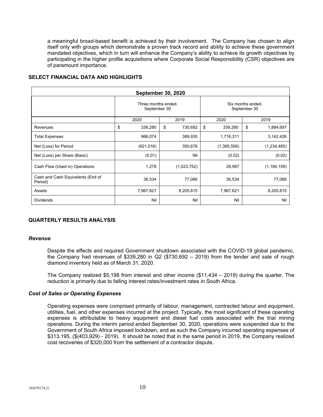a meaningful broad-based benefit is achieved by their involvement. The Company has chosen to align itself only with groups which demonstrate a proven track record and ability to achieve these government mandated objectives, which in turn will enhance the Company's ability to achieve its growth objectives by participating in the higher profile acquisitions where Corporate Social Responsibility (CSR) objectives are of paramount importance.

| <b>September 30, 2020</b>                    |                                     |              |    |             |                                   |             |      |               |
|----------------------------------------------|-------------------------------------|--------------|----|-------------|-----------------------------------|-------------|------|---------------|
|                                              | Three months ended.<br>September 30 |              |    |             | Six months ended.<br>September 30 |             |      |               |
|                                              |                                     | 2020<br>2019 |    |             |                                   | 2020        | 2019 |               |
| Revenues                                     | \$                                  | 339,280      | \$ | 730,692     | \$                                | 339,280     | \$   | 1,884,697     |
| <b>Total Expenses</b>                        |                                     | 966,074      |    | 389,935     |                                   | 1,716,311   |      | 3,142,426     |
| Net (Loss) for Period                        |                                     | (621, 016)   |    | 350,676     |                                   | (1,365,506) |      | (1,234,485)   |
| Net (Loss) per Share (Basic)                 |                                     | (0.01)       |    | Nil         |                                   | (0.02)      |      | (0.02)        |
| Cash Flow (Used in) Operations               |                                     | 1,278        |    | (1,023,752) |                                   | 29,987      |      | (1, 184, 159) |
| Cash and Cash Equivalents (End of<br>Period) |                                     | 36,534       |    | 77,066      |                                   | 36,534      |      | 77,066        |
| Assets                                       |                                     | 7,967,621    |    | 8,205,815   |                                   | 7,967,621   |      | 8,205,815     |
| <b>Dividends</b>                             |                                     | Nil          |    | Nil         |                                   | Nil         |      | Nil           |

# **SELECT FINANCIAL DATA AND HIGHLIGHTS**

# **QUARTERLY RESULTS ANALYSIS**

#### *Revenue*

Despite the effects and required Government shutdown associated with the COVID-19 global pandemic, the Company had revenues of \$339,280 in Q2 (\$730,692 – 2019) from the tender and sale of rough diamond inventory held as of March 31, 2020.

The Company realized \$5,198 from interest and other income (\$11,434 – 2019) during the quarter. The reduction is primarily due to falling interest rates/investment rates in South Africa.

## *Cost of Sales or Operating Expenses*

Operating expenses were comprised primarily of labour, management, contracted labour and equipment, utilities, fuel, and other expenses incurred at the project. Typically, the most significant of these operating expenses is attributable to heavy equipment and diesel fuel costs associated with the trial mining operations. During the interim period ended September 30, 2020, operations were suspended due to the Government of South Africa imposed lockdown, and as such the Company incurred operating expenses of \$313,195, (\$(403,929) - 2019). It should be noted that in the same period in 2019, the Company realized cost recoveries of \$320,000 from the settlement of a contractor dispute.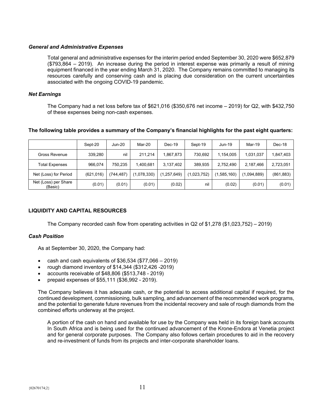## *General and Administrative Expenses*

Total general and administrative expenses for the interim period ended September 30, 2020 were \$652,879 (\$793,864 – 2019). An increase during the period in interest expense was primarily a result of mining equipment financed in the year ending March 31, 2020. The Company remains committed to managing its resources carefully and conserving cash and is placing due consideration on the current uncertainties associated with the ongoing COVID-19 pandemic.

# *Net Earnings*

The Company had a net loss before tax of \$621,016 (\$350,676 net income – 2019) for Q2, with \$432,750 of these expenses being non-cash expenses.

# **The following table provides a summary of the Company's financial highlights for the past eight quarters:**

|                                 | Sept-20    | Jun-20    | Mar-20      | $Dec-19$  | Sept-19     | Jun-19      | Mar-19      | Dec-18     |
|---------------------------------|------------|-----------|-------------|-----------|-------------|-------------|-------------|------------|
| <b>Gross Revenue</b>            | 339.280    | nil       | 211,214     | .867.873  | 730.692     | 1.154.005   | 1,031,037   | 1,847,403  |
| <b>Total Expenses</b>           | 966.074    | 750,235   | 1.400.681   | 3,137,402 | 389.935     | 2.752.490   | 2,187,466   | 2,723,051  |
| Net (Loss) for Period           | (621, 016) | (744,487) | (1,078,330) | ,257,649) | (1,023,752) | (1,585,160) | (1,094,889) | (861, 883) |
| Net (Loss) per Share<br>(Basic) | (0.01)     | (0.01)    | (0.01)      | (0.02)    | nil         | (0.02)      | (0.01)      | (0.01)     |

# **LIQUIDITY AND CAPITAL RESOURCES**

The Company recorded cash flow from operating activities in Q2 of \$1,278 (\$1,023,752) – 2019)

# *Cash Position*

As at September 30, 2020, the Company had:

- cash and cash equivalents of  $$36,534$  ( $$77,066 2019$ )
- rough diamond inventory of \$14,344 (\$312,426 -2019)
- accounts receivable of \$48,806 (\$513,748 2019)
- prepaid expenses of \$55,111 (\$36,992 2019).

The Company believes it has adequate cash, or the potential to access additional capital if required, for the continued development, commissioning, bulk sampling, and advancement of the recommended work programs, and the potential to generate future revenues from the incidental recovery and sale of rough diamonds from the combined efforts underway at the project.

A portion of the cash on hand and available for use by the Company was held in its foreign bank accounts In South Africa and is being used for the continued advancement of the Krone-Endora at Venetia project and for general corporate purposes. The Company also follows certain procedures to aid in the recovery and re-investment of funds from its projects and inter-corporate shareholder loans.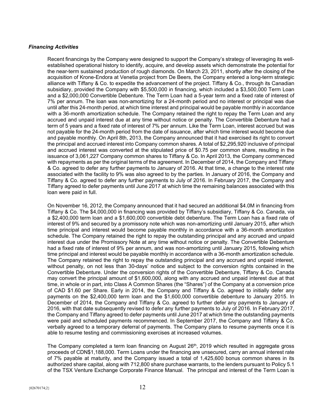## *Financing Activities*

Recent financings by the Company were designed to support the Company's strategy of leveraging its wellestablished operational history to identify, acquire, and develop assets which demonstrate the potential for the near-term sustained production of rough diamonds. On March 23, 2011, shortly after the closing of the acquisition of Krone-Endora at Venetia project from De Beers, the Company entered a long-term strategic alliance with Tiffany & Co. to expedite the advancement of the project. Tiffany & Co., through its Canadian subsidiary, provided the Company with \$5,500,000 in financing, which included a \$3,500,000 Term Loan and a \$2,000,000 Convertible Debenture. The Term Loan had a 5-year term and a fixed rate of interest of 7% per annum. The loan was non-amortizing for a 24-month period and no interest or principal was due until after this 24-month period, at which time interest and principal would be payable monthly in accordance with a 36-month amortization schedule. The Company retained the right to repay the Term Loan and any accrued and unpaid interest due at any time without notice or penalty. The Convertible Debenture had a term of 5 years and a fixed rate of interest of 7% per annum. Like the Term Loan, interest accrued but was not payable for the 24-month period from the date of issuance, after which time interest would become due and payable monthly. On April 8th, 2013, the Company announced that it had exercised its right to convert the principal and accrued interest into Company common shares. A total of \$2,295,920 inclusive of principal and accrued interest was converted at the stipulated price of \$0.75 per common share, resulting in the issuance of 3,061,227 Company common shares to Tiffany & Co. In April 2013, the Company commenced with repayments as per the original terms of the agreement. In December of 2014, the Company and Tiffany & Co. agreed to defer any further payments to January of 2016. At that time, a change to the interest rate associated with the facility to 9% was also agreed to by the parties. In January of 2016, the Company and Tiffany & Co. agreed to defer any further payments to July of 2016. In February 2017, the Company and Tiffany agreed to defer payments until June 2017 at which time the remaining balances associated with this loan were paid in full.

On November 16, 2012, the Company announced that it had secured an additional \$4.0M in financing from Tiffany & Co. The \$4,000,000 in financing was provided by Tiffany's subsidiary, Tiffany & Co. Canada, via a \$2,400,000 term loan and a \$1,600,000 convertible debt debenture. The Term Loan has a fixed rate of interest of 9% and secured by a promissory note which was non-amortizing until January 2015, after which time principal and interest would become payable monthly in accordance with a 36-month amortization schedule. The Company retained the right to repay the outstanding principal and any accrued and unpaid interest due under the Promissory Note at any time without notice or penalty. The Convertible Debenture had a fixed rate of interest of 9% per annum, and was non-amortizing until January 2015, following which time principal and interest would be payable monthly in accordance with a 36-month amortization schedule. The Company retained the right to repay the outstanding principal and any accrued and unpaid interest, without penalty, on not less than 30-days' notice and subject to the conversion rights contained in the Convertible Debenture. Under the conversion rights of the Convertible Debenture, Tiffany & Co. Canada may convert the principal amount of \$1,600,000, along with any accrued and unpaid interest due at that time, in whole or in part, into Class A Common Shares (the "Shares") of the Company at a conversion price of CAD \$1.60 per Share. Early in 2014, the Company and Tiffany & Co. agreed to initially defer any payments on the \$2,400,000 term loan and the \$1,600,000 convertible debenture to January 2015. In December of 2014, the Company and Tiffany & Co. agreed to further defer any payments to January of 2016, with that date subsequently revised to defer any further payments to July of 2016. In February 2017, the Company and Tiffany agreed to defer payments until June 2017 at which time the outstanding payments were paid and scheduled payments recommenced. In September 2017, the Company and Tiffany & Co. verbally agreed to a temporary deferral of payments. The Company plans to resume payments once it is able to resume testing and commissioning exercises at increased volumes.

The Company completed a term loan financing on August  $26<sup>th</sup>$ , 2019 which resulted in aggregate gross proceeds of CDN\$1,188,000. Term Loans under the financing are unsecured, carry an annual interest rate of 7% payable at maturity, and the Company issued a total of 1,425,600 bonus common shares in its authorized share capital, along with 712,800 share purchase warrants, to the lenders pursuant to Policy 5.1 of the TSX Venture Exchange Corporate Finance Manual. The principal and interest of the Term Loan is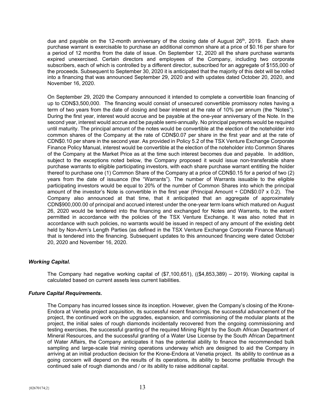due and payable on the 12-month anniversary of the closing date of August  $26<sup>th</sup>$ , 2019. Each share purchase warrant is exercisable to purchase an additional common share at a price of \$0.16 per share for a period of 12 months from the date of issue. On September 12, 2020 all the share purchase warrants expired unexercised. Certain directors and employees of the Company, including two corporate subscribers, each of which is controlled by a different director, subscribed for an aggregate of \$155,000 of the proceeds. Subsequent to September 30, 2020 it is anticipated that the majority of this debt will be rolled into a financing that was announced September 29, 2020 and with updates dated October 20, 2020, and November 16, 2020.

On September 29, 2020 the Company announced it intended to complete a convertible loan financing of up to CDN\$3,500,000. The financing would consist of unsecured convertible promissory notes having a term of two years from the date of closing and bear interest at the rate of 10% per annum (the "Notes"). During the first year, interest would accrue and be payable at the one-year anniversary of the Note. In the second year, interest would accrue and be payable semi-annually. No principal payments would be required until maturity. The principal amount of the notes would be convertible at the election of the noteholder into common shares of the Company at the rate of CDN\$0.07 per share in the first year and at the rate of CDN\$0.10 per share in the second year. As provided in Policy 5.2 of the TSX Venture Exchange Corporate Finance Policy Manual, interest would be convertible at the election of the noteholder into Common Shares of the Company at the Market Price as at the time such interest becomes due and payable. In addition, subject to the exceptions noted below, the Company proposed it would issue non-transferable share purchase warrants to eligible participating investors, with each share purchase warrant entitling the holder thereof to purchase one (1) Common Share of the Company at a price of CDN\$0.15 for a period of two (2) years from the date of issuance (the "Warrants"). The number of Warrants issuable to the eligible participating investors would be equal to 20% of the number of Common Shares into which the principal amount of the investor's Note is convertible in the first year (Principal Amount ÷ CDN\$0.07 x 0.2). The Company also announced at that time, that it anticipated that an aggregate of approximately CDN\$900,000.00 of principal and accrued interest under the one-year term loans which matured on August 26, 2020 would be tendered into the financing and exchanged for Notes and Warrants, to the extent permitted in accordance with the policies of the TSX Venture Exchange. It was also noted that in accordance with such policies, no warrants would be issued in respect of any amount of the existing debt held by Non-Arm's Length Parties (as defined in the TSX Venture Exchange Corporate Finance Manual) that is tendered into the financing. Subsequent updates to this announced financing were dated October 20, 2020 and November 16, 2020.

# *Working Capital.*

The Company had negative working capital of (\$7,100,651), ((\$4,853,389) – 2019). Working capital is calculated based on current assets less current liabilities.

## *Future Capital Requirements.*

The Company has incurred losses since its inception. However, given the Company's closing of the Krone-Endora at Venetia project acquisition, its successful recent financings, the successful advancement of the project, the continued work on the upgrades, expansion, and commissioning of the modular plants at the project, the initial sales of rough diamonds incidentally recovered from the ongoing commissioning and testing exercises, the successful granting of the required Mining Right by the South African Department of Mineral Resources, and the successful granting of a Water Use License by the South African Department of Water Affairs, the Company anticipates it has the potential ability to finance the recommended bulk sampling and large-scale trial mining operations underway which are designed to aid the Company in arriving at an initial production decision for the Krone-Endora at Venetia project. Its ability to continue as a going concern will depend on the results of its operations, its ability to become profitable through the continued sale of rough diamonds and / or its ability to raise additional capital.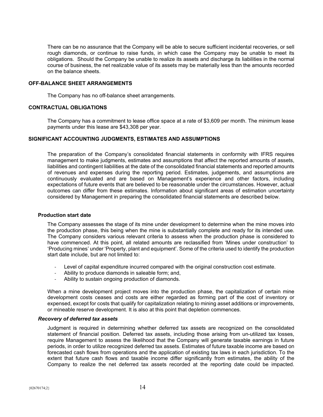There can be no assurance that the Company will be able to secure sufficient incidental recoveries, or sell rough diamonds, or continue to raise funds, in which case the Company may be unable to meet its obligations. Should the Company be unable to realize its assets and discharge its liabilities in the normal course of business, the net realizable value of its assets may be materially less than the amounts recorded on the balance sheets.

#### **OFF-BALANCE SHEET ARRANGEMENTS**

The Company has no off-balance sheet arrangements.

# **CONTRACTUAL OBLIGATIONS**

The Company has a commitment to lease office space at a rate of \$3,609 per month. The minimum lease payments under this lease are \$43,308 per year.

#### **SIGNIFICANT ACCOUNTING JUDGMENTS, ESTIMATES AND ASSUMPTIONS**

The preparation of the Company's consolidated financial statements in conformity with IFRS requires management to make judgments, estimates and assumptions that affect the reported amounts of assets, liabilities and contingent liabilities at the date of the consolidated financial statements and reported amounts of revenues and expenses during the reporting period. Estimates, judgements, and assumptions are continuously evaluated and are based on Management's experience and other factors, including expectations of future events that are believed to be reasonable under the circumstances. However, actual outcomes can differ from these estimates. Information about significant areas of estimation uncertainty considered by Management in preparing the consolidated financial statements are described below.

#### **Production start date**

The Company assesses the stage of its mine under development to determine when the mine moves into the production phase, this being when the mine is substantially complete and ready for its intended use. The Company considers various relevant criteria to assess when the production phase is considered to have commenced. At this point, all related amounts are reclassified from 'Mines under construction' to 'Producing mines' under 'Property, plant and equipment'. Some of the criteria used to identify the production start date include, but are not limited to:

- Level of capital expenditure incurred compared with the original construction cost estimate.
- Ability to produce diamonds in saleable form; and,
- Ability to sustain ongoing production of diamonds.

When a mine development project moves into the production phase, the capitalization of certain mine development costs ceases and costs are either regarded as forming part of the cost of inventory or expensed, except for costs that qualify for capitalization relating to mining asset additions or improvements, or mineable reserve development. It is also at this point that depletion commences.

#### *Recovery of deferred tax assets*

Judgment is required in determining whether deferred tax assets are recognized on the consolidated statement of financial position. Deferred tax assets, including those arising from un-utilized tax losses, require Management to assess the likelihood that the Company will generate taxable earnings in future periods, in order to utilize recognized deferred tax assets. Estimates of future taxable income are based on forecasted cash flows from operations and the application of existing tax laws in each jurisdiction. To the extent that future cash flows and taxable income differ significantly from estimates, the ability of the Company to realize the net deferred tax assets recorded at the reporting date could be impacted.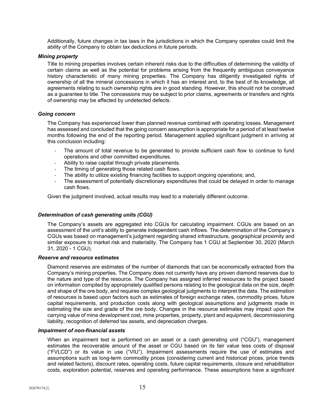Additionally, future changes in tax laws in the jurisdictions in which the Company operates could limit the ability of the Company to obtain tax deductions in future periods.

## *Mining property*

Title to mining properties involves certain inherent risks due to the difficulties of determining the validity of certain claims as well as the potential for problems arising from the frequently ambiguous conveyance history characteristic of many mining properties. The Company has diligently investigated rights of ownership of all the mineral concessions in which it has an interest and, to the best of its knowledge, all agreements relating to such ownership rights are in good standing. However, this should not be construed as a guarantee to title. The concessions may be subject to prior claims, agreements or transfers and rights of ownership may be affected by undetected defects.

#### *Going concern*

The Company has experienced lower than planned revenue combined with operating losses. Management has assessed and concluded that the going concern assumption is appropriate for a period of at least twelve months following the end of the reporting period. Management applied significant judgment in arriving at this conclusion including:

- The amount of total revenue to be generated to provide sufficient cash flow to continue to fund operations and other committed expenditures.
- Ability to raise capital through private placements.
- The timing of generating those related cash flows.
- The ability to utilize existing financing facilities to support ongoing operations; and,
- The assessment of potentially discretionary expenditures that could be delayed in order to manage cash flows.

Given the judgment involved, actual results may lead to a materially different outcome.

## *Determination of cash generating units (CGU)*

The Company's assets are aggregated into CGUs for calculating impairment. CGUs are based on an assessment of the unit's ability to generate independent cash inflows. The determination of the Company's CGUs was based on management's judgment regarding shared infrastructure, geographical proximity and similar exposure to market risk and materiality. The Company has 1 CGU at September 30, 2020 (March 31, 2020 - 1 CGU).

## *Reserve and resource estimates*

Diamond reserves are estimates of the number of diamonds that can be economically extracted from the Company's mining properties. The Company does not currently have any proven diamond reserves due to the nature and type of the resource. The Company has assigned inferred resources to the project based on information compiled by appropriately qualified persons relating to the geological data on the size, depth and shape of the ore body, and requires complex geological judgments to interpret the data. The estimation of resources is based upon factors such as estimates of foreign exchange rates, commodity prices, future capital requirements, and production costs along with geological assumptions and judgments made in estimating the size and grade of the ore body. Changes in the resource estimates may impact upon the carrying value of mine development cost, mine properties, property, plant and equipment, decommissioning liability, recognition of deferred tax assets, and depreciation charges.

#### *Impairment of non-financial assets*

When an impairment test is performed on an asset or a cash generating unit ("CGU"), management estimates the recoverable amount of the asset or CGU based on its fair value less costs of disposal ("FVLCD") or its value in use ("VIU"). Impairment assessments require the use of estimates and assumptions such as long-term commodity prices (considering current and historical prices, price trends and related factors), discount rates, operating costs, future capital requirements, closure and rehabilitation costs, exploration potential, reserves and operating performance. These assumptions have a significant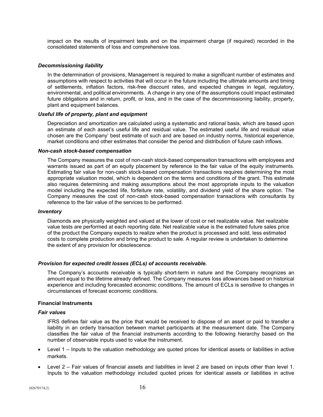impact on the results of impairment tests and on the impairment charge (if required) recorded in the consolidated statements of loss and comprehensive loss.

## *Decommissioning liability*

In the determination of provisions, Management is required to make a significant number of estimates and assumptions with respect to activities that will occur in the future including the ultimate amounts and timing of settlements, inflation factors, risk-free discount rates, and expected changes in legal, regulatory, environmental, and political environments. A change in any one of the assumptions could impact estimated future obligations and in return, profit, or loss, and in the case of the decommissioning liability, property, plant and equipment balances.

## *Useful life of property, plant and equipment*

Depreciation and amortization are calculated using a systematic and rational basis, which are based upon an estimate of each asset's useful life and residual value. The estimated useful life and residual value chosen are the Company' best estimate of such and are based on industry norms, historical experience, market conditions and other estimates that consider the period and distribution of future cash inflows.

#### *Non-cash stock-based compensation*

The Company measures the cost of non-cash stock-based compensation transactions with employees and warrants issued as part of an equity placement by reference to the fair value of the equity instruments. Estimating fair value for non-cash stock-based compensation transactions requires determining the most appropriate valuation model, which is dependent on the terms and conditions of the grant. This estimate also requires determining and making assumptions about the most appropriate inputs to the valuation model including the expected life, forfeiture rate, volatility, and dividend yield of the share option. The Company measures the cost of non-cash stock-based compensation transactions with consultants by reference to the fair value of the services to be performed.

#### *Inventory*

Diamonds are physically weighted and valued at the lower of cost or net realizable value. Net realizable value tests are performed at each reporting date. Net realizable value is the estimated future sales price of the product the Company expects to realize when the product is processed and sold, less estimated costs to complete production and bring the product to sale. A regular review is undertaken to determine the extent of any provision for obsolescence.

## *Provision for expected credit losses (ECLs) of accounts receivable.*

The Company's accounts receivable is typically short-term in nature and the Company recognizes an amount equal to the lifetime already defined. The Company measures loss allowances based on historical experience and including forecasted economic conditions. The amount of ECLs is sensitive to changes in circumstances of forecast economic conditions.

## **Financial Instruments**

## *Fair values*

IFRS defines fair value as the price that would be received to dispose of an asset or paid to transfer a liability in an orderly transaction between market participants at the measurement date. The Company classifies the fair value of the financial instruments according to the following hierarchy based on the number of observable inputs used to value the instrument.

- Level 1 Inputs to the valuation methodology are quoted prices for identical assets or liabilities in active markets.
- Level 2 Fair values of financial assets and liabilities in level 2 are based on inputs other than level 1. Inputs to the valuation methodology included quoted prices for identical assets or liabilities in active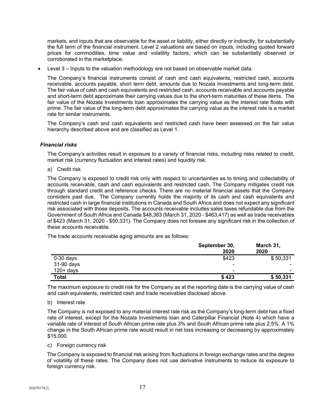markets, and inputs that are observable for the asset or liability, either directly or indirectly, for substantially the full term of the financial instrument. Level 2 valuations are based on inputs, including quoted forward prices for commodities, time value and volatility factors, which can be substantially observed or corroborated in the marketplace.

• Level 3 – Inputs to the valuation methodology are not based on observable market data.

The Company's financial instruments consist of cash and cash equivalents, restricted cash, accounts receivable, accounts payable, short term debt, amounts due to Nozala Investments and long-term debt. The fair value of cash and cash equivalents and restricted cash, accounts receivable and accounts payable and short-term debt approximate their carrying values due to the short-term maturities of these items. The fair value of the Nozala Investments loan approximates the carrying value as the interest rate floats with prime. The fair value of the long-term debt approximates the carrying value as the interest rate is a market rate for similar instruments.

The Company's cash and cash equivalents and restricted cash have been assessed on the fair value hierarchy described above and are classified as Level 1.

# *Financial risks*

The Company's activities result in exposure to a variety of financial risks, including risks related to credit, market risk (currency fluctuation and interest rates) and liquidity risk.

a) Credit risk

The Company is exposed to credit risk only with respect to uncertainties as to timing and collectability of accounts receivable, cash and cash equivalents and restricted cash. The Company mitigates credit risk through standard credit and reference checks. There are no material financial assets that the Company considers past due. The Company currently holds the majority of its cash and cash equivalents and restricted cash in large financial institutions in Canada and South Africa and does not expect any significant risk associated with those deposits. The accounts receivable includes sales taxes refundable due from the Government of South Africa and Canada \$48,383 (March 31, 2020 - \$463,417) as well as trade receivables of \$423 (March 31, 2020 - \$50,331). The Company does not foresee any significant risk in the collection of these accounts receivable.

The trade accounts receivable aging amounts are as follows:

|                            | September 30,<br>2020         | March 31,<br>2020                                    |
|----------------------------|-------------------------------|------------------------------------------------------|
| $0-30$ days                | \$423                         | \$50,331                                             |
| 31-90 days<br>$120 + days$ | -<br>$\overline{\phantom{0}}$ | $\overline{\phantom{0}}$<br>$\overline{\phantom{0}}$ |
| <b>Total</b>               | \$423                         | \$50,331                                             |

The maximum exposure to credit risk for the Company as at the reporting date is the carrying value of cash and cash equivalents, restricted cash and trade receivables disclosed above.

## b) Interest rate

The Company is not exposed to any material interest rate risk as the Company's long-term debt has a fixed rate of interest, except for the Nozala Investments loan and Caterpillar Financial (Note 4) which have a variable rate of interest of South African prime rate plus 3% and South African prime rate plus 2.5%. A 1% change in the South African prime rate would result in net loss increasing or decreasing by approximately \$15,000.

c) Foreign currency risk

The Company is exposed to financial risk arising from fluctuations in foreign exchange rates and the degree of volatility of these rates. The Company does not use derivative instruments to reduce its exposure to foreign currency risk.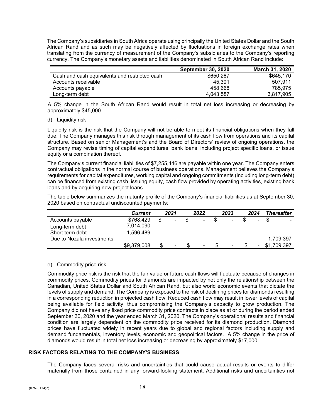The Company's subsidiaries in South Africa operate using principally the United States Dollar and the South African Rand and as such may be negatively affected by fluctuations in foreign exchange rates when translating from the currency of measurement of the Company's subsidiaries to the Company's reporting currency. The Company's monetary assets and liabilities denominated in South African Rand include:

| <b>September 30, 2020</b> | March 31, 2020 |
|---------------------------|----------------|
| \$650,267                 | \$645,170      |
| 45.301                    | 507.911        |
| 458.668                   | 785.975        |
| 4.043.587                 | 3.817.905      |
|                           |                |

A 5% change in the South African Rand would result in total net loss increasing or decreasing by approximately \$45,000.

## d) Liquidity risk

Liquidity risk is the risk that the Company will not be able to meet its financial obligations when they fall due. The Company manages this risk through management of its cash flow from operations and its capital structure. Based on senior Management's and the Board of Directors' review of ongoing operations, the Company may revise timing of capital expenditures, bank loans, including project specific loans, or issue equity or a combination thereof.

The Company's current financial liabilities of \$7,255,446 are payable within one year. The Company enters contractual obligations in the normal course of business operations. Management believes the Company's requirements for capital expenditures, working capital and ongoing commitments (including long-term debt) can be financed from existing cash, issuing equity, cash flow provided by operating activities, existing bank loans and by acquiring new project loans.

The table below summarizes the maturity profile of the Company's financial liabilities as at September 30, 2020 based on contractual undiscounted payments:

|                           | <b>Current</b> | 2021                     | 2022                     | 2023                     | 2024 | <b>Thereafter</b> |
|---------------------------|----------------|--------------------------|--------------------------|--------------------------|------|-------------------|
| Accounts payable          | \$768,429      | \$<br>$\blacksquare$     | $\blacksquare$           | $\overline{\phantom{a}}$ | Ξ.   | $\blacksquare$    |
| Long-term debt            | 7,014,090      | $\overline{\phantom{0}}$ | $\blacksquare$           |                          |      |                   |
| Short term debt           | 1,596,489      | $\blacksquare$           | $\blacksquare$           | -                        |      |                   |
| Due to Nozala investments | $\blacksquare$ | $\blacksquare$           | $\overline{\phantom{0}}$ | -                        |      | 1,709,397         |
|                           | \$9,379,008    | $\overline{\phantom{0}}$ | ٠                        | ۰                        |      | \$1,709,397       |

## e) Commodity price risk

Commodity price risk is the risk that the fair value or future cash flows will fluctuate because of changes in commodity prices. Commodity prices for diamonds are impacted by not only the relationship between the Canadian, United States Dollar and South African Rand, but also world economic events that dictate the levels of supply and demand. The Company is exposed to the risk of declining prices for diamonds resulting in a corresponding reduction in projected cash flow. Reduced cash flow may result in lower levels of capital being available for field activity, thus compromising the Company's capacity to grow production. The Company did not have any fixed price commodity price contracts in place as at or during the period ended September 30, 2020 and the year ended March 31, 2020. The Company's operational results and financial condition are largely dependent on the commodity price received for its diamond production. Diamond prices have fluctuated widely in recent years due to global and regional factors including supply and demand fundamentals, inventory levels, economic and geopolitical factors. A 5% change in the price of diamonds would result in total net loss increasing or decreasing by approximately \$17,000.

# **RISK FACTORS RELATING TO THE COMPANY'S BUSINESS**

The Company faces several risks and uncertainties that could cause actual results or events to differ materially from those contained in any forward-looking statement. Additional risks and uncertainties not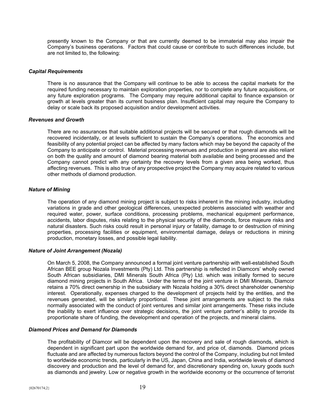presently known to the Company or that are currently deemed to be immaterial may also impair the Company's business operations. Factors that could cause or contribute to such differences include, but are not limited to, the following:

## *Capital Requirements*

There is no assurance that the Company will continue to be able to access the capital markets for the required funding necessary to maintain exploration properties, nor to complete any future acquisitions, or any future exploration programs. The Company may require additional capital to finance expansion or growth at levels greater than its current business plan. Insufficient capital may require the Company to delay or scale back its proposed acquisition and/or development activities.

#### *Revenues and Growth*

There are no assurances that suitable additional projects will be secured or that rough diamonds will be recovered incidentally, or at levels sufficient to sustain the Company's operations. The economics and feasibility of any potential project can be affected by many factors which may be beyond the capacity of the Company to anticipate or control. Material processing revenues and production in general are also reliant on both the quality and amount of diamond bearing material both available and being processed and the Company cannot predict with any certainty the recovery levels from a given area being worked, thus affecting revenues. This is also true of any prospective project the Company may acquire related to various other methods of diamond production.

#### *Nature of Mining*

The operation of any diamond mining project is subject to risks inherent in the mining industry, including variations in grade and other geological differences, unexpected problems associated with weather and required water, power, surface conditions, processing problems, mechanical equipment performance, accidents, labor disputes, risks relating to the physical security of the diamonds, force majeure risks and natural disasters. Such risks could result in personal injury or fatality, damage to or destruction of mining properties, processing facilities or equipment, environmental damage, delays or reductions in mining production, monetary losses, and possible legal liability.

## *Nature of Joint Arrangement (Nozala)*

On March 5, 2008, the Company announced a formal joint venture partnership with well-established South African BEE group Nozala Investments (Pty) Ltd. This partnership is reflected in Diamcors' wholly owned South African subsidiaries, DMI Minerals South Africa (Pty) Ltd. which was initially formed to secure diamond mining projects in South Africa. Under the terms of the joint venture in DMI Minerals, Diamcor retains a 70% direct ownership in the subsidiary with Nozala holding a 30% direct shareholder ownership interest. Operationally, expenses charged to the development of projects held by the entities, and the revenues generated, will be similarly proportional. These joint arrangements are subject to the risks normally associated with the conduct of joint ventures and similar joint arrangements. These risks include the inability to exert influence over strategic decisions, the joint venture partner's ability to provide its proportionate share of funding, the development and operation of the projects, and mineral claims.

## *Diamond Prices and Demand for Diamonds*

The profitability of Diamcor will be dependent upon the recovery and sale of rough diamonds, which is dependent in significant part upon the worldwide demand for, and price of, diamonds. Diamond prices fluctuate and are affected by numerous factors beyond the control of the Company, including but not limited to worldwide economic trends, particularly in the US, Japan, China and India, worldwide levels of diamond discovery and production and the level of demand for, and discretionary spending on, luxury goods such as diamonds and jewelry. Low or negative growth in the worldwide economy or the occurrence of terrorist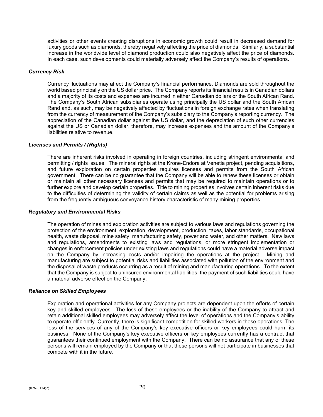activities or other events creating disruptions in economic growth could result in decreased demand for luxury goods such as diamonds, thereby negatively affecting the price of diamonds. Similarly, a substantial increase in the worldwide level of diamond production could also negatively affect the price of diamonds. In each case, such developments could materially adversely affect the Company's results of operations.

#### *Currency Risk*

Currency fluctuations may affect the Company's financial performance. Diamonds are sold throughout the world based principally on the US dollar price. The Company reports its financial results in Canadian dollars and a majority of its costs and expenses are incurred in either Canadian dollars or the South African Rand. The Company's South African subsidiaries operate using principally the US dollar and the South African Rand and, as such, may be negatively affected by fluctuations in foreign exchange rates when translating from the currency of measurement of the Company's subsidiary to the Company's reporting currency. The appreciation of the Canadian dollar against the US dollar, and the depreciation of such other currencies against the US or Canadian dollar, therefore, may increase expenses and the amount of the Company's liabilities relative to revenue.

#### *Licenses and Permits / (Rights)*

There are inherent risks involved in operating in foreign countries, including stringent environmental and permitting / rights issues. The mineral rights at the Krone-Endora at Venetia project, pending acquisitions, and future exploration on certain properties requires licenses and permits from the South African government. There can be no guarantee that the Company will be able to renew these licenses or obtain or maintain all other necessary licenses and permits that may be required to maintain operations or to further explore and develop certain properties. Title to mining properties involves certain inherent risks due to the difficulties of determining the validity of certain claims as well as the potential for problems arising from the frequently ambiguous conveyance history characteristic of many mining properties.

#### *Regulatory and Environmental Risks*

The operation of mines and exploration activities are subject to various laws and regulations governing the protection of the environment, exploration, development, production, taxes, labor standards, occupational health, waste disposal, mine safety, manufacturing safety, power and water, and other matters. New laws and regulations, amendments to existing laws and regulations, or more stringent implementation or changes in enforcement policies under existing laws and regulations could have a material adverse impact on the Company by increasing costs and/or impairing the operations at the project. Mining and manufacturing are subject to potential risks and liabilities associated with pollution of the environment and the disposal of waste products occurring as a result of mining and manufacturing operations. To the extent that the Company is subject to uninsured environmental liabilities, the payment of such liabilities could have a material adverse effect on the Company.

#### *Reliance on Skilled Employees*

Exploration and operational activities for any Company projects are dependent upon the efforts of certain key and skilled employees. The loss of these employees or the inability of the Company to attract and retain additional skilled employees may adversely affect the level of operations and the Company's ability to operate efficiently. Currently, there is significant competition for skilled workers in these operations. The loss of the services of any of the Company's key executive officers or key employees could harm its business. None of the Company's key executive officers or key employees currently has a contract that guarantees their continued employment with the Company. There can be no assurance that any of these persons will remain employed by the Company or that these persons will not participate in businesses that compete with it in the future.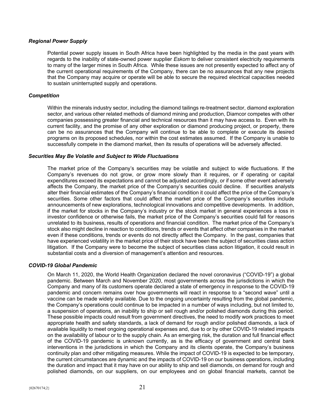## *Regional Power Supply*

Potential power supply issues in South Africa have been highlighted by the media in the past years with regards to the inability of state-owned power supplier *Eskom* to deliver consistent electricity requirements to many of the larger mines in South Africa. While these issues are not presently expected to affect any of the current operational requirements of the Company, there can be no assurances that any new projects that the Company may acquire or operate will be able to secure the required electrical capacities needed to sustain uninterrupted supply and operations.

## *Competition*

Within the minerals industry sector, including the diamond tailings re-treatment sector, diamond exploration sector, and various other related methods of diamond mining and production, Diamcor competes with other companies possessing greater financial and technical resources than it may have access to. Even with its current facility, and the promise of any other exploration or diamond producing project, or property, there can be no assurances that the Company will continue to be able to complete or execute its desired programs on its proposed schedules, nor within the cost estimates assumed. If the Company is unable to successfully compete in the diamond market, then its results of operations will be adversely affected.

## *Securities May Be Volatile and Subject to Wide Fluctuations*

The market price of the Company's securities may be volatile and subject to wide fluctuations. If the Company's revenues do not grow, or grow more slowly than it requires, or if operating or capital expenditures exceed its expectations and cannot be adjusted accordingly, or if some other event adversely affects the Company, the market price of the Company's securities could decline. If securities analysts alter their financial estimates of the Company's financial condition it could affect the price of the Company's securities. Some other factors that could affect the market price of the Company's securities include announcements of new explorations, technological innovations and competitive developments. In addition, if the market for stocks in the Company's industry or the stock market in general experiences a loss in investor confidence or otherwise fails, the market price of the Company's securities could fall for reasons unrelated to its business, results of operations and financial condition. The market price of the Company's stock also might decline in reaction to conditions, trends or events that affect other companies in the market even if these conditions, trends or events do not directly affect the Company. In the past, companies that have experienced volatility in the market price of their stock have been the subject of securities class action litigation. If the Company were to become the subject of securities class action litigation, it could result in substantial costs and a diversion of management's attention and resources.

## *COVID-19 Global Pandemic*

On March 11, 2020, the World Health Organization declared the novel coronavirus ("COVID-19") a global pandemic. Between March and November 2020, most governments across the jurisdictions in which the Company and many of its customers operate declared a state of emergency in response to the COVID-19 pandemic and concern remains over how governments will react in response to a "second wave" until a vaccine can be made widely available. Due to the ongoing uncertainty resulting from the global pandemic, the Company's operations could continue to be impacted in a number of ways including, but not limited to, a suspension of operations, an inability to ship or sell rough and/or polished diamonds during this period. These possible impacts could result from government directives, the need to modify work practices to meet appropriate health and safety standards, a lack of demand for rough and/or polished diamonds, a lack of available liquidity to meet ongoing operational expenses and, due to or by other COVID-19 related impacts on the availability of labour or to the supply chain. As an emerging risk, the duration and full financial effect of the COVID-19 pandemic is unknown currently, as is the efficacy of government and central bank interventions in the jurisdictions in which the Company and its clients operate, the Company's business continuity plan and other mitigating measures. While the impact of COVID-19 is expected to be temporary, the current circumstances are dynamic and the impacts of COVID-19 on our business operations, including the duration and impact that it may have on our ability to ship and sell diamonds, on demand for rough and polished diamonds, on our suppliers, on our employees and on global financial markets, cannot be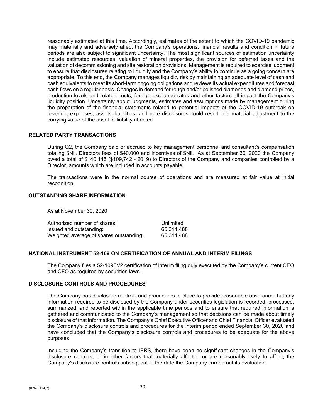reasonably estimated at this time. Accordingly, estimates of the extent to which the COVID-19 pandemic may materially and adversely affect the Company's operations, financial results and condition in future periods are also subject to significant uncertainty. The most significant sources of estimation uncertainty include estimated resources, valuation of mineral properties, the provision for deferred taxes and the valuation of decommissioning and site restoration provisions. Management is required to exercise judgment to ensure that disclosures relating to liquidity and the Company's ability to continue as a going concern are appropriate. To this end, the Company manages liquidity risk by maintaining an adequate level of cash and cash equivalents to meet its short-term ongoing obligations and reviews its actual expenditures and forecast cash flows on a regular basis. Changes in demand for rough and/or polished diamonds and diamond prices, production levels and related costs, foreign exchange rates and other factors all impact the Company's liquidity position. Uncertainty about judgments, estimates and assumptions made by management during the preparation of the financial statements related to potential impacts of the COVID-19 outbreak on revenue, expenses, assets, liabilities, and note disclosures could result in a material adjustment to the carrying value of the asset or liability affected.

## **RELATED PARTY TRANSACTIONS**

During Q2, the Company paid or accrued to key management personnel and consultant's compensation totaling \$Nil, Directors fees of \$40,000 and incentives of \$Nil. As at September 30, 2020 the Company owed a total of \$140,145 (\$109,742 - 2019) to Directors of the Company and companies controlled by a Director, amounts which are included in accounts payable.

The transactions were in the normal course of operations and are measured at fair value at initial recognition.

## **OUTSTANDING SHARE INFORMATION**

As at November 30, 2020

| Authorized number of shares:            | Unlimited  |
|-----------------------------------------|------------|
| Issued and outstanding:                 | 65,311,488 |
| Weighted average of shares outstanding: | 65.311.488 |

## **NATIONAL INSTRUMENT 52-109 ON CERTIFICATION OF ANNUAL AND INTERIM FILINGS**

The Company files a 52-109FV2 certification of interim filing duly executed by the Company's current CEO and CFO as required by securities laws.

# **DISCLOSURE CONTROLS AND PROCEDURES**

The Company has disclosure controls and procedures in place to provide reasonable assurance that any information required to be disclosed by the Company under securities legislation is recorded, processed, summarized, and reported within the applicable time periods and to ensure that required information is gathered and communicated to the Company's management so that decisions can be made about timely disclosure of that information. The Company's Chief Executive Officer and Chief Financial Officer evaluated the Company's disclosure controls and procedures for the interim period ended September 30, 2020 and have concluded that the Company's disclosure controls and procedures to be adequate for the above purposes.

Including the Company's transition to IFRS, there have been no significant changes in the Company's disclosure controls, or in other factors that materially affected or are reasonably likely to affect, the Company's disclosure controls subsequent to the date the Company carried out its evaluation.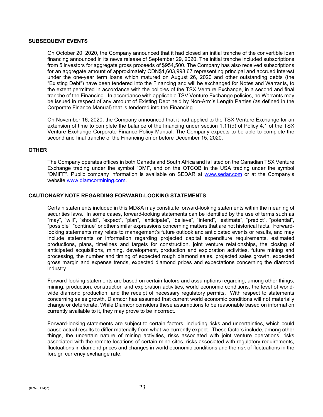## **SUBSEQUENT EVENTS**

On October 20, 2020, the Company announced that it had closed an initial tranche of the convertible loan financing announced in its news release of September 29, 2020. The initial tranche included subscriptions from 5 investors for aggregate gross proceeds of \$954,500. The Company has also received subscriptions for an aggregate amount of approximately CDN\$1,603,998.67 representing principal and accrued interest under the one-year term loans which matured on August 26, 2020 and other outstanding debts (the "Existing Debt") have been tendered into the Financing and will be exchanged for Notes and Warrants, to the extent permitted in accordance with the policies of the TSX Venture Exchange, in a second and final tranche of the Financing. In accordance with applicable TSV Venture Exchange policies, no Warrants may be issued in respect of any amount of Existing Debt held by Non-Arm's Length Parties (as defined in the Corporate Finance Manual) that is tendered into the Financing.

On November 16, 2020, the Company announced that it had applied to the TSX Venture Exchange for an extension of time to complete the balance of the financing under section 1.11(d) of Policy 4.1 of the TSX Venture Exchange Corporate Finance Policy Manual. The Company expects to be able to complete the second and final tranche of the Financing on or before December 15, 2020.

#### **OTHER**

The Company operates offices in both Canada and South Africa and is listed on the Canadian TSX Venture Exchange trading under the symbol "DMI", and on the OTCQB in the USA trading under the symbol "DMIFF". Public company information is available on SEDAR at [www.sedar.com](http://www.sedar.com/) or at the Company's website [www.diamcormining.com.](http://www.diamcormining.com/)

## **CAUTIONARY NOTE REGARDING FORWARD-LOOKING STATEMENTS**

Certain statements included in this MD&A may constitute forward-looking statements within the meaning of securities laws. In some cases, forward-looking statements can be identified by the use of terms such as "may", "will", "should", "expect", "plan", "anticipate", "believe", "intend", "estimate", "predict", "potential", "possible", "continue" or other similar expressions concerning matters that are not historical facts. Forwardlooking statements may relate to management's future outlook and anticipated events or results, and may include statements or information regarding projected capital expenditure requirements, estimated productions, plans, timelines and targets for construction, joint venture relationships, the closing of anticipated acquisitions, mining, development, production and exploration activities, future mining and processing, the number and timing of expected rough diamond sales, projected sales growth, expected gross margin and expense trends, expected diamond prices and expectations concerning the diamond industry.

Forward-looking statements are based on certain factors and assumptions regarding, among other things, mining, production, construction and exploration activities, world economic conditions, the level of worldwide diamond production, and the receipt of necessary regulatory permits. With respect to statements concerning sales growth, Diamcor has assumed that current world economic conditions will not materially change or deteriorate. While Diamcor considers these assumptions to be reasonable based on information currently available to it, they may prove to be incorrect.

Forward-looking statements are subject to certain factors, including risks and uncertainties, which could cause actual results to differ materially from what we currently expect. These factors include, among other things, the uncertain nature of mining activities, risks associated with joint venture operations, risks associated with the remote locations of certain mine sites, risks associated with regulatory requirements, fluctuations in diamond prices and changes in world economic conditions and the risk of fluctuations in the foreign currency exchange rate.